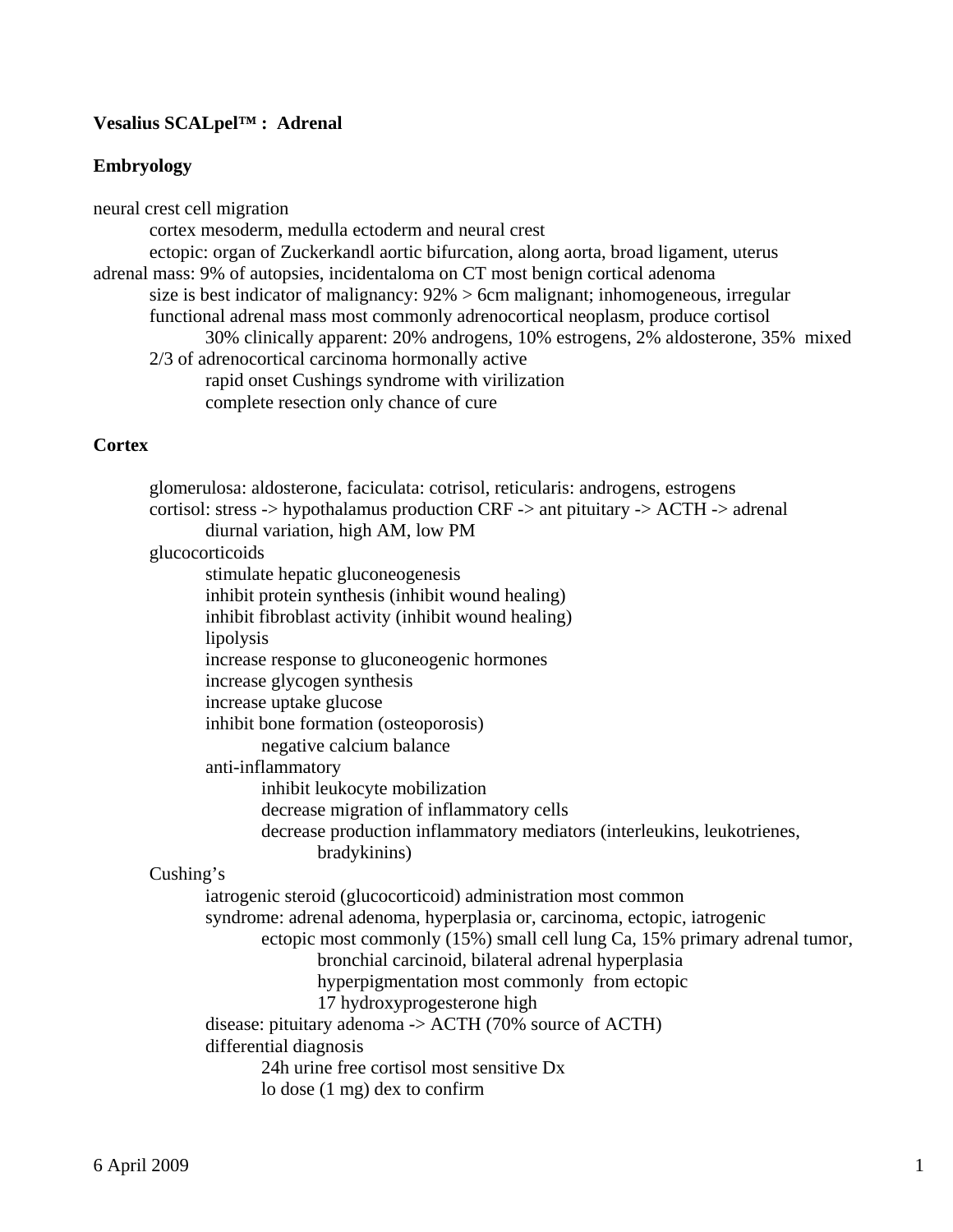## **Vesalius SCALpel™ : Adrenal**

# **Embryology**

| neural crest cell migration                                                             |
|-----------------------------------------------------------------------------------------|
| cortex mesoderm, medulla ectoderm and neural crest                                      |
| ectopic: organ of Zuckerkandl aortic bifurcation, along aorta, broad ligament, uterus   |
| adrenal mass: 9% of autopsies, incidentaloma on CT most benign cortical adenoma         |
| size is best indicator of malignancy: $92\% > 6$ cm malignant; inhomogeneous, irregular |
| functional adrenal mass most commonly adrenocortical neoplasm, produce cortisol         |
| 30% clinically apparent: 20% androgens, 10% estrogens, 2% aldosterone, 35% mixed        |
| 2/3 of adrenocortical carcinoma hormonally active                                       |
| rapid onset Cushings syndrome with virilization                                         |
| complete resection only chance of cure                                                  |
|                                                                                         |

## **Cortex**

| glomerulosa: aldosterone, faciculata: cotrisol, reticularis: androgens, estrogens                                         |
|---------------------------------------------------------------------------------------------------------------------------|
| cortisol: stress -> hypothalamus production CRF -> ant pituitary -> ACTH -> adrenal<br>diurnal variation, high AM, low PM |
| glucocorticoids                                                                                                           |
| stimulate hepatic gluconeogenesis                                                                                         |
| inhibit protein synthesis (inhibit wound healing)                                                                         |
| inhibit fibroblast activity (inhibit wound healing)                                                                       |
| lipolysis                                                                                                                 |
| increase response to gluconeogenic hormones                                                                               |
| increase glycogen synthesis                                                                                               |
| increase uptake glucose                                                                                                   |
| inhibit bone formation (osteoporosis)                                                                                     |
| negative calcium balance                                                                                                  |
| anti-inflammatory                                                                                                         |
| inhibit leukocyte mobilization                                                                                            |
| decrease migration of inflammatory cells                                                                                  |
| decrease production inflammatory mediators (interleukins, leukotrienes,                                                   |
| bradykinins)                                                                                                              |
| Cushing's                                                                                                                 |
| iatrogenic steroid (glucocorticoid) administration most common                                                            |
| syndrome: adrenal adenoma, hyperplasia or, carcinoma, ectopic, iatrogenic                                                 |
| ectopic most commonly (15%) small cell lung Ca, 15% primary adrenal tumor,                                                |
| bronchial carcinoid, bilateral adrenal hyperplasia                                                                        |
| hyperpigmentation most commonly from ectopic                                                                              |
| 17 hydroxyprogesterone high                                                                                               |
| disease: pituitary adenoma -> ACTH (70% source of ACTH)                                                                   |
| differential diagnosis                                                                                                    |
| 24h urine free cortisol most sensitive Dx                                                                                 |
| lo dose $(1 \text{ mg})$ dex to confirm                                                                                   |
|                                                                                                                           |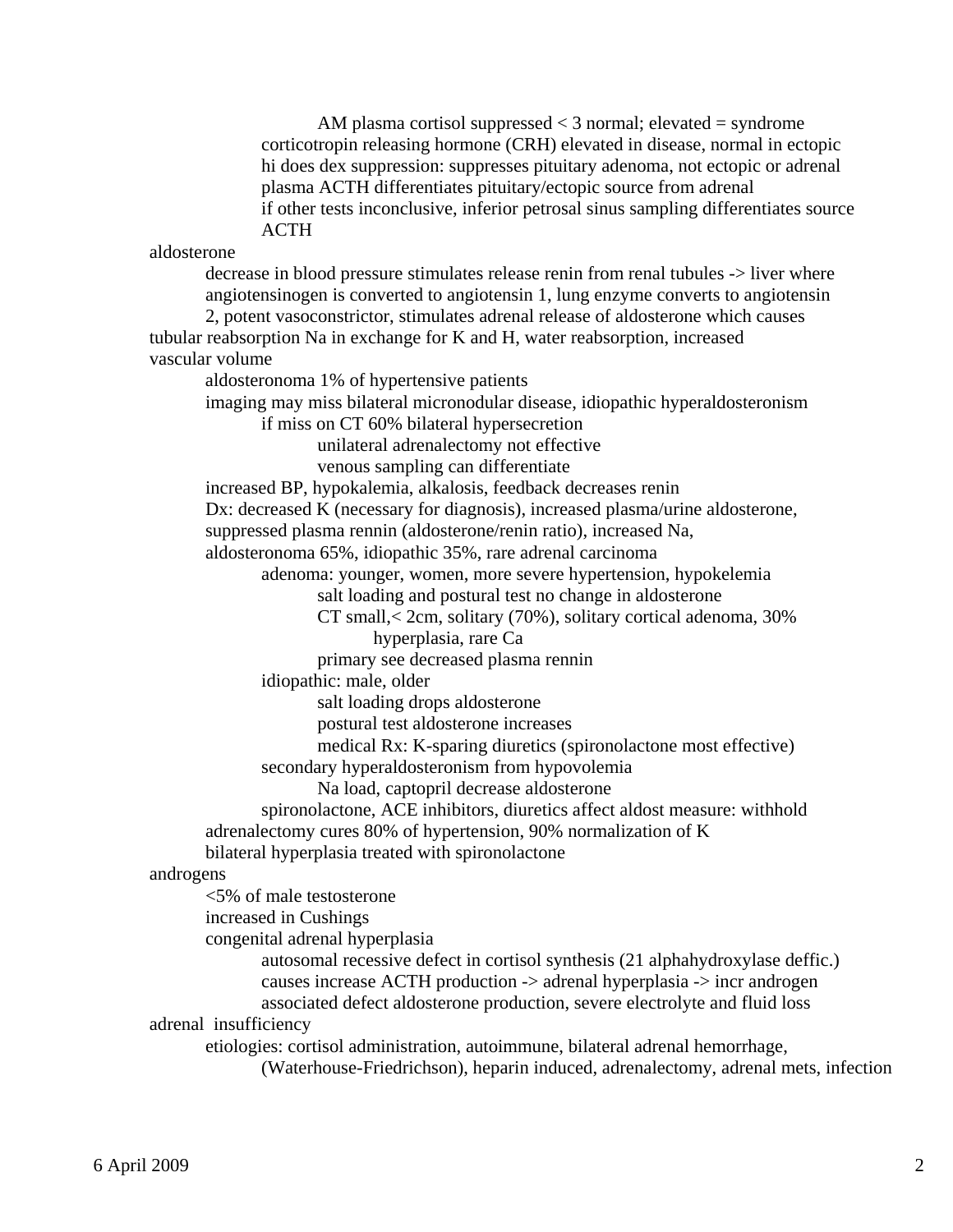AM plasma cortisol suppressed  $<$  3 normal; elevated  $=$  syndrome corticotropin releasing hormone (CRH) elevated in disease, normal in ectopic hi does dex suppression: suppresses pituitary adenoma, not ectopic or adrenal plasma ACTH differentiates pituitary/ectopic source from adrenal if other tests inconclusive, inferior petrosal sinus sampling differentiates source ACTH

aldosterone

 decrease in blood pressure stimulates release renin from renal tubules -> liver where angiotensinogen is converted to angiotensin 1, lung enzyme converts to angiotensin 2, potent vasoconstrictor, stimulates adrenal release of aldosterone which causes tubular reabsorption Na in exchange for K and H, water reabsorption, increased

vascular volume

aldosteronoma 1% of hypertensive patients

imaging may miss bilateral micronodular disease, idiopathic hyperaldosteronism

if miss on CT 60% bilateral hypersecretion

unilateral adrenalectomy not effective

venous sampling can differentiate

increased BP, hypokalemia, alkalosis, feedback decreases renin

Dx: decreased K (necessary for diagnosis), increased plasma/urine aldosterone,

suppressed plasma rennin (aldosterone/renin ratio), increased Na,

aldosteronoma 65%, idiopathic 35%, rare adrenal carcinoma

adenoma: younger, women, more severe hypertension, hypokelemia

salt loading and postural test no change in aldosterone

CT small,< 2cm, solitary (70%), solitary cortical adenoma, 30%

hyperplasia, rare Ca

primary see decreased plasma rennin

idiopathic: male, older

salt loading drops aldosterone

postural test aldosterone increases

medical Rx: K-sparing diuretics (spironolactone most effective)

secondary hyperaldosteronism from hypovolemia

Na load, captopril decrease aldosterone

 spironolactone, ACE inhibitors, diuretics affect aldost measure: withhold adrenalectomy cures 80% of hypertension, 90% normalization of K

bilateral hyperplasia treated with spironolactone

androgens

<5% of male testosterone

increased in Cushings

congenital adrenal hyperplasia

 autosomal recessive defect in cortisol synthesis (21 alphahydroxylase deffic.) causes increase ACTH production -> adrenal hyperplasia -> incr androgen associated defect aldosterone production, severe electrolyte and fluid loss

adrenal insufficiency

etiologies: cortisol administration, autoimmune, bilateral adrenal hemorrhage,

(Waterhouse-Friedrichson), heparin induced, adrenalectomy, adrenal mets, infection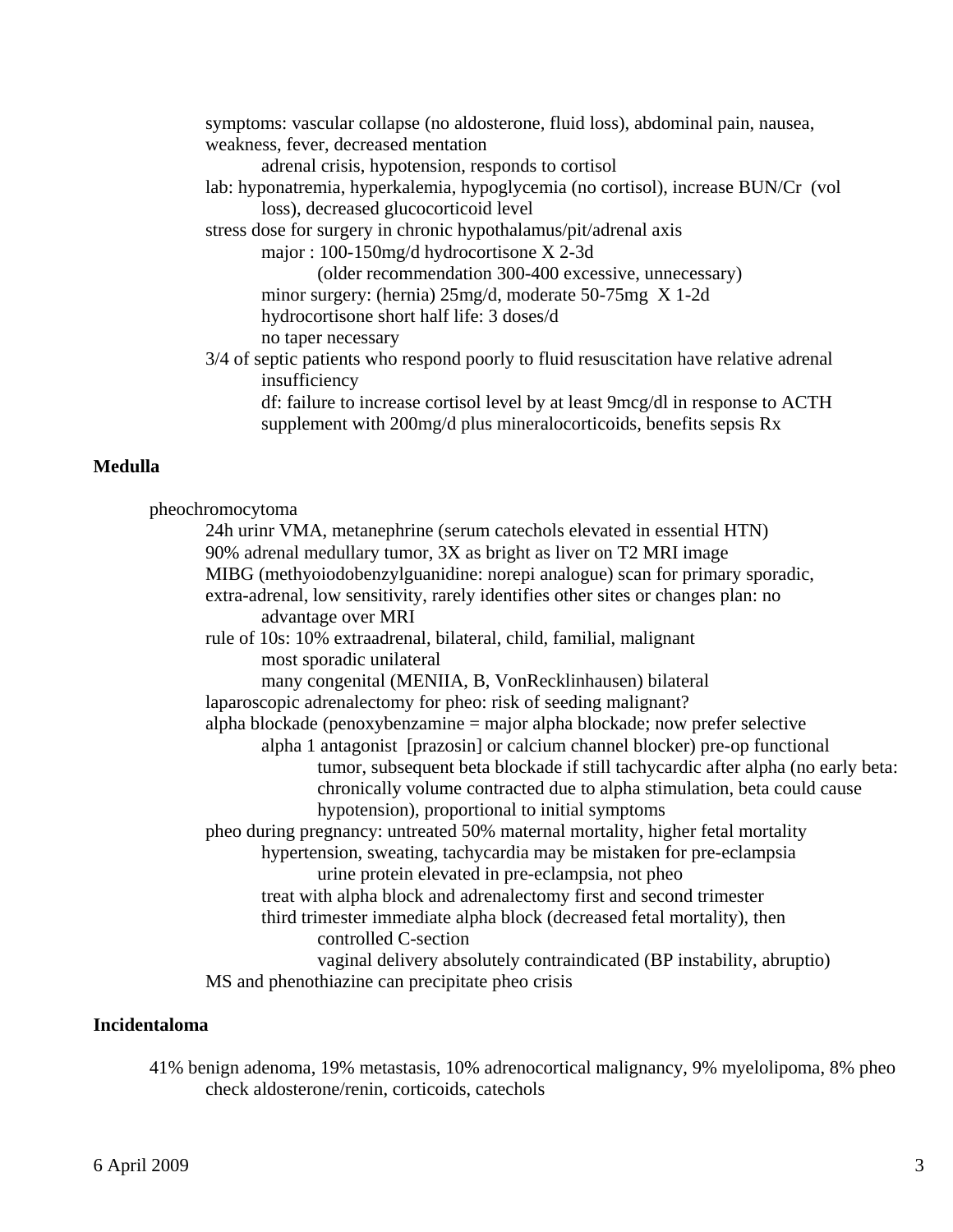symptoms: vascular collapse (no aldosterone, fluid loss), abdominal pain, nausea, weakness, fever, decreased mentation adrenal crisis, hypotension, responds to cortisol lab: hyponatremia, hyperkalemia, hypoglycemia (no cortisol), increase BUN/Cr (vol loss), decreased glucocorticoid level stress dose for surgery in chronic hypothalamus/pit/adrenal axis major : 100-150mg/d hydrocortisone X 2-3d (older recommendation 300-400 excessive, unnecessary) minor surgery: (hernia) 25mg/d, moderate 50-75mg X 1-2d hydrocortisone short half life: 3 doses/d no taper necessary 3/4 of septic patients who respond poorly to fluid resuscitation have relative adrenal insufficiency df: failure to increase cortisol level by at least 9mcg/dl in response to ACTH supplement with 200mg/d plus mineralocorticoids, benefits sepsis Rx

#### **Medulla**

 pheochromocytoma 24h urinr VMA, metanephrine (serum catechols elevated in essential HTN) 90% adrenal medullary tumor, 3X as bright as liver on T2 MRI image MIBG (methyoiodobenzylguanidine: norepi analogue) scan for primary sporadic, extra-adrenal, low sensitivity, rarely identifies other sites or changes plan: no advantage over MRI rule of 10s: 10% extraadrenal, bilateral, child, familial, malignant most sporadic unilateral many congenital (MENIIA, B, VonRecklinhausen) bilateral laparoscopic adrenalectomy for pheo: risk of seeding malignant? alpha blockade (penoxybenzamine = major alpha blockade; now prefer selective alpha 1 antagonist [prazosin] or calcium channel blocker) pre-op functional tumor, subsequent beta blockade if still tachycardic after alpha (no early beta: chronically volume contracted due to alpha stimulation, beta could cause hypotension), proportional to initial symptoms pheo during pregnancy: untreated 50% maternal mortality, higher fetal mortality hypertension, sweating, tachycardia may be mistaken for pre-eclampsia urine protein elevated in pre-eclampsia, not pheo treat with alpha block and adrenalectomy first and second trimester third trimester immediate alpha block (decreased fetal mortality), then controlled C-section vaginal delivery absolutely contraindicated (BP instability, abruptio)

MS and phenothiazine can precipitate pheo crisis

#### **Incidentaloma**

 41% benign adenoma, 19% metastasis, 10% adrenocortical malignancy, 9% myelolipoma, 8% pheo check aldosterone/renin, corticoids, catechols